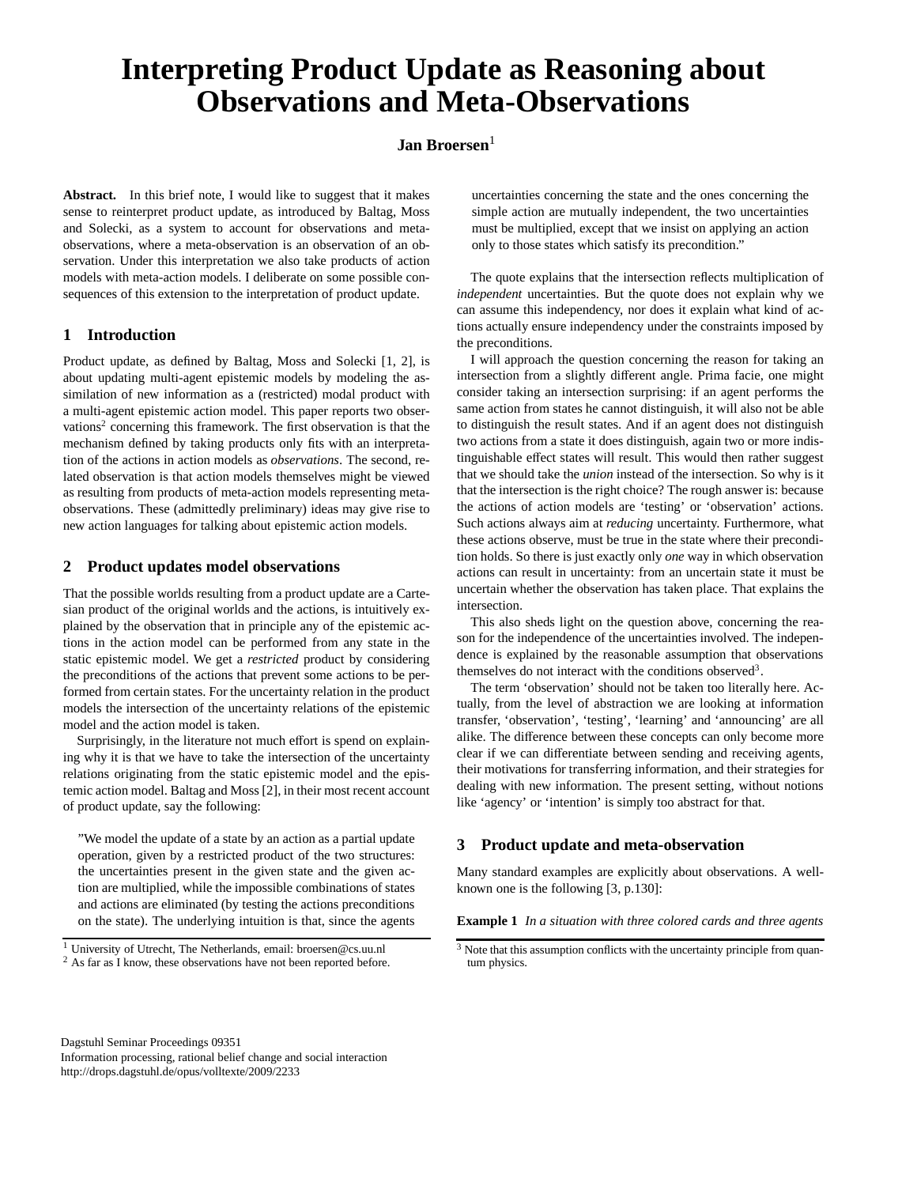# **Interpreting Product Update as Reasoning about Observations and Meta-Observations**

## **Jan Broersen**<sup>1</sup>

**Abstract.** In this brief note, I would like to suggest that it makes sense to reinterpret product update, as introduced by Baltag, Moss and Solecki, as a system to account for observations and metaobservations, where a meta-observation is an observation of an observation. Under this interpretation we also take products of action models with meta-action models. I deliberate on some possible consequences of this extension to the interpretation of product update.

#### **1 Introduction**

Product update, as defined by Baltag, Moss and Solecki [1, 2], is about updating multi-agent epistemic models by modeling the assimilation of new information as a (restricted) modal product with a multi-agent epistemic action model. This paper reports two observations<sup>2</sup> concerning this framework. The first observation is that the mechanism defined by taking products only fits with an interpretation of the actions in action models as *observations*. The second, related observation is that action models themselves might be viewed as resulting from products of meta-action models representing metaobservations. These (admittedly preliminary) ideas may give rise to new action languages for talking about epistemic action models.

#### **2 Product updates model observations**

That the possible worlds resulting from a product update are a Cartesian product of the original worlds and the actions, is intuitively explained by the observation that in principle any of the epistemic actions in the action model can be performed from any state in the static epistemic model. We get a *restricted* product by considering the preconditions of the actions that prevent some actions to be performed from certain states. For the uncertainty relation in the product models the intersection of the uncertainty relations of the epistemic model and the action model is taken.

Surprisingly, in the literature not much effort is spend on explaining why it is that we have to take the intersection of the uncertainty relations originating from the static epistemic model and the epistemic action model. Baltag and Moss [2], in their most recent account of product update, say the following:

"We model the update of a state by an action as a partial update operation, given by a restricted product of the two structures: the uncertainties present in the given state and the given action are multiplied, while the impossible combinations of states and actions are eliminated (by testing the actions preconditions on the state). The underlying intuition is that, since the agents uncertainties concerning the state and the ones concerning the simple action are mutually independent, the two uncertainties must be multiplied, except that we insist on applying an action only to those states which satisfy its precondition."

The quote explains that the intersection reflects multiplication of *independent* uncertainties. But the quote does not explain why we can assume this independency, nor does it explain what kind of actions actually ensure independency under the constraints imposed by the preconditions.

I will approach the question concerning the reason for taking an intersection from a slightly different angle. Prima facie, one might consider taking an intersection surprising: if an agent performs the same action from states he cannot distinguish, it will also not be able to distinguish the result states. And if an agent does not distinguish two actions from a state it does distinguish, again two or more indistinguishable effect states will result. This would then rather suggest that we should take the *union* instead of the intersection. So why is it that the intersection is the right choice? The rough answer is: because the actions of action models are 'testing' or 'observation' actions. Such actions always aim at *reducing* uncertainty. Furthermore, what these actions observe, must be true in the state where their precondition holds. So there is just exactly only *one* way in which observation actions can result in uncertainty: from an uncertain state it must be uncertain whether the observation has taken place. That explains the intersection.

This also sheds light on the question above, concerning the reason for the independence of the uncertainties involved. The independence is explained by the reasonable assumption that observations themselves do not interact with the conditions observed<sup>3</sup>.

The term 'observation' should not be taken too literally here. Actually, from the level of abstraction we are looking at information transfer, 'observation', 'testing', 'learning' and 'announcing' are all alike. The difference between these concepts can only become more clear if we can differentiate between sending and receiving agents, their motivations for transferring information, and their strategies for dealing with new information. The present setting, without notions like 'agency' or 'intention' is simply too abstract for that.

### **3 Product update and meta-observation**

Many standard examples are explicitly about observations. A wellknown one is the following [3, p.130]:

**Example 1** *In a situation with three colored cards and three agents*

Dagstuhl Seminar Proceedings 09351 Information processing, rational belief change and social interaction http://drops.dagstuhl.de/opus/volltexte/2009/2233

<sup>1</sup> University of Utrecht, The Netherlands, email: broersen@cs.uu.nl <sup>2</sup> As far as I know, these observations have not been reported before.

<sup>&</sup>lt;sup>3</sup> Note that this assumption conflicts with the uncertainty principle from quantum physics.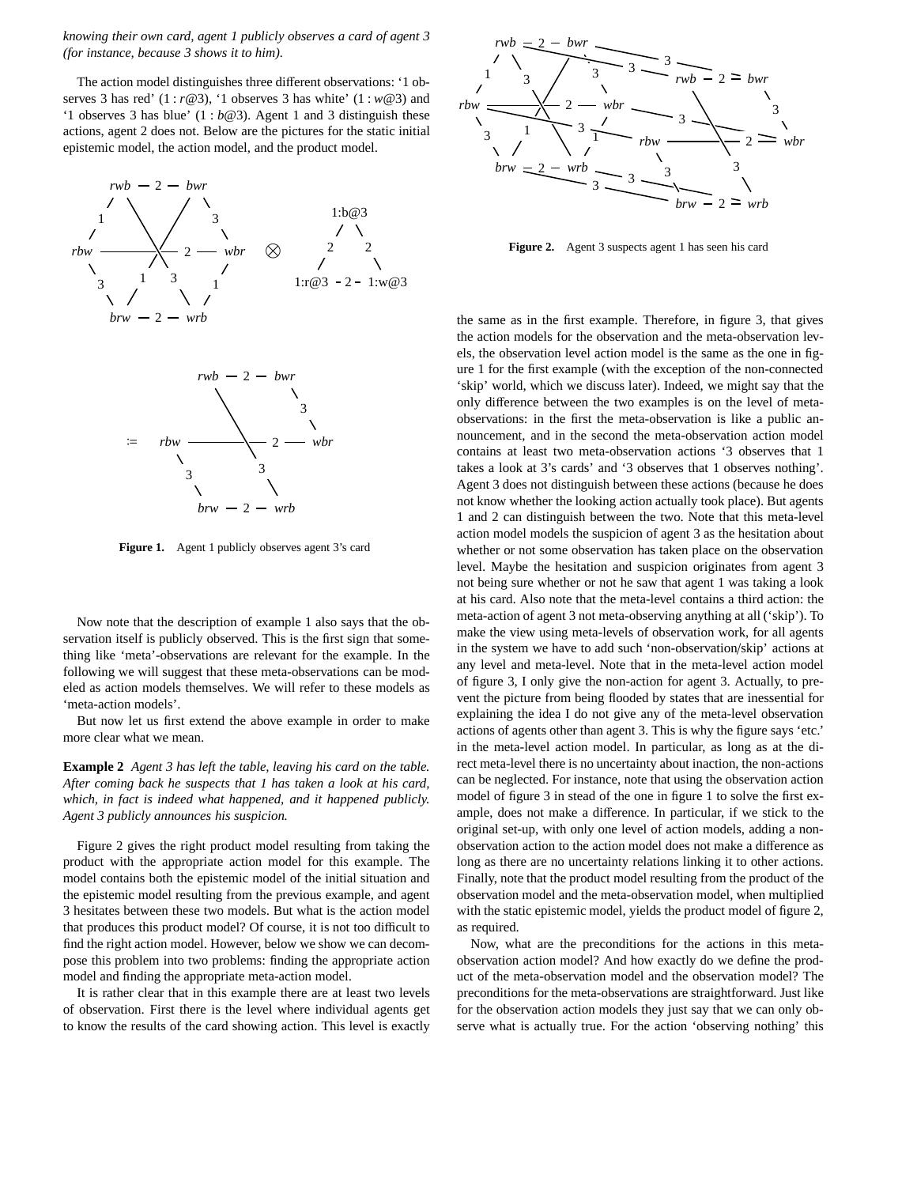*knowing their own card, agent 1 publicly observes a card of agent 3 (for instance, because 3 shows it to him).*

The action model distinguishes three different observations: '1 observes 3 has red' (1 : *r*@3), '1 observes 3 has white' (1 : *w*@3) and '1 observes 3 has blue' (1 : *b*@3). Agent 1 and 3 distinguish these actions, agent 2 does not. Below are the pictures for the static initial epistemic model, the action model, and the product model.



**Figure 1.** Agent 1 publicly observes agent 3's card

Now note that the description of example 1 also says that the observation itself is publicly observed. This is the first sign that something like 'meta'-observations are relevant for the example. In the following we will suggest that these meta-observations can be modeled as action models themselves. We will refer to these models as 'meta-action models'.

But now let us first extend the above example in order to make more clear what we mean.

**Example 2** *Agent 3 has left the table, leaving his card on the table. After coming back he suspects that 1 has taken a look at his card, which, in fact is indeed what happened, and it happened publicly. Agent 3 publicly announces his suspicion.*

Figure 2 gives the right product model resulting from taking the product with the appropriate action model for this example. The model contains both the epistemic model of the initial situation and the epistemic model resulting from the previous example, and agent 3 hesitates between these two models. But what is the action model that produces this product model? Of course, it is not too difficult to find the right action model. However, below we show we can decompose this problem into two problems: finding the appropriate action model and finding the appropriate meta-action model.

It is rather clear that in this example there are at least two levels of observation. First there is the level where individual agents get to know the results of the card showing action. This level is exactly



**Figure 2.** Agent 3 suspects agent 1 has seen his card

the same as in the first example. Therefore, in figure 3, that gives the action models for the observation and the meta-observation levels, the observation level action model is the same as the one in figure 1 for the first example (with the exception of the non-connected 'skip' world, which we discuss later). Indeed, we might say that the only difference between the two examples is on the level of metaobservations: in the first the meta-observation is like a public announcement, and in the second the meta-observation action model contains at least two meta-observation actions '3 observes that 1 takes a look at 3's cards' and '3 observes that 1 observes nothing'. Agent 3 does not distinguish between these actions (because he does not know whether the looking action actually took place). But agents 1 and 2 can distinguish between the two. Note that this meta-level action model models the suspicion of agent 3 as the hesitation about whether or not some observation has taken place on the observation level. Maybe the hesitation and suspicion originates from agent 3 not being sure whether or not he saw that agent 1 was taking a look at his card. Also note that the meta-level contains a third action: the meta-action of agent 3 not meta-observing anything at all ('skip'). To make the view using meta-levels of observation work, for all agents in the system we have to add such 'non-observation/skip' actions at any level and meta-level. Note that in the meta-level action model of figure 3, I only give the non-action for agent 3. Actually, to prevent the picture from being flooded by states that are inessential for explaining the idea I do not give any of the meta-level observation actions of agents other than agent 3. This is why the figure says 'etc.' in the meta-level action model. In particular, as long as at the direct meta-level there is no uncertainty about inaction, the non-actions can be neglected. For instance, note that using the observation action model of figure 3 in stead of the one in figure 1 to solve the first example, does not make a difference. In particular, if we stick to the original set-up, with only one level of action models, adding a nonobservation action to the action model does not make a difference as long as there are no uncertainty relations linking it to other actions. Finally, note that the product model resulting from the product of the observation model and the meta-observation model, when multiplied with the static epistemic model, yields the product model of figure 2, as required.

Now, what are the preconditions for the actions in this metaobservation action model? And how exactly do we define the product of the meta-observation model and the observation model? The preconditions for the meta-observations are straightforward. Just like for the observation action models they just say that we can only observe what is actually true. For the action 'observing nothing' this